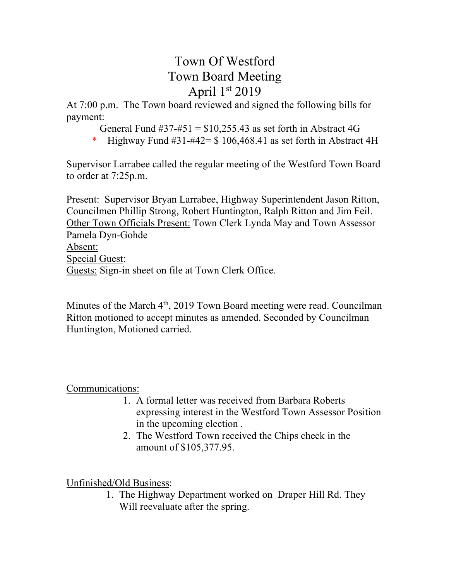# Town Of Westford Town Board Meeting April  $1<sup>st</sup> 2019$

At 7:00 p.m. The Town board reviewed and signed the following bills for payment:

General Fund  $\#37 - \#51 = \$10,255.43$  as set forth in Abstract 4G

\* Highway Fund  $#31-#42= $106,468.41$  as set forth in Abstract 4H

Supervisor Larrabee called the regular meeting of the Westford Town Board to order at 7:25p.m.

Present: Supervisor Bryan Larrabee, Highway Superintendent Jason Ritton, Councilmen Phillip Strong, Robert Huntington, Ralph Ritton and Jim Feil. Other Town Officials Present: Town Clerk Lynda May and Town Assessor Pamela Dyn-Gohde Absent: Special Guest: Guests: Sign-in sheet on file at Town Clerk Office.

Minutes of the March 4<sup>th</sup>, 2019 Town Board meeting were read. Councilman Ritton motioned to accept minutes as amended. Seconded by Councilman Huntington, Motioned carried.

## Communications:

- 1. A formal letter was received from Barbara Roberts expressing interest in the Westford Town Assessor Position in the upcoming election .
- 2. The Westford Town received the Chips check in the amount of \$105,377.95.

Unfinished/Old Business:

1. The Highway Department worked on Draper Hill Rd. They Will reevaluate after the spring.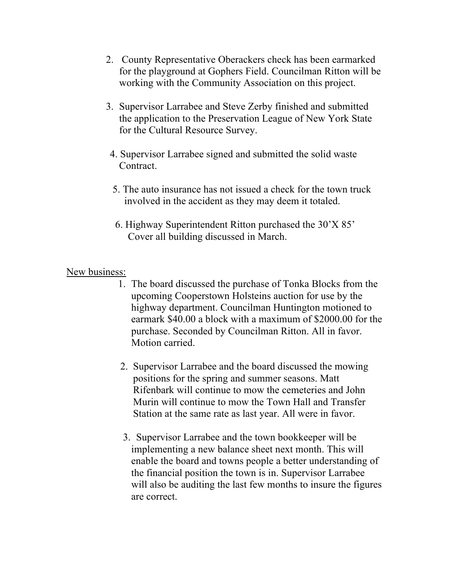- 2. County Representative Oberackers check has been earmarked for the playground at Gophers Field. Councilman Ritton will be working with the Community Association on this project.
- 3. Supervisor Larrabee and Steve Zerby finished and submitted the application to the Preservation League of New York State for the Cultural Resource Survey.
- 4. Supervisor Larrabee signed and submitted the solid waste Contract.
- 5. The auto insurance has not issued a check for the town truck involved in the accident as they may deem it totaled.
- 6. Highway Superintendent Ritton purchased the 30'X 85' Cover all building discussed in March.

### New business:

- 1. The board discussed the purchase of Tonka Blocks from the upcoming Cooperstown Holsteins auction for use by the highway department. Councilman Huntington motioned to earmark \$40.00 a block with a maximum of \$2000.00 for the purchase. Seconded by Councilman Ritton. All in favor. Motion carried.
- 2. Supervisor Larrabee and the board discussed the mowing positions for the spring and summer seasons. Matt Rifenbark will continue to mow the cemeteries and John Murin will continue to mow the Town Hall and Transfer Station at the same rate as last year. All were in favor.
- 3. Supervisor Larrabee and the town bookkeeper will be implementing a new balance sheet next month. This will enable the board and towns people a better understanding of the financial position the town is in. Supervisor Larrabee will also be auditing the last few months to insure the figures are correct.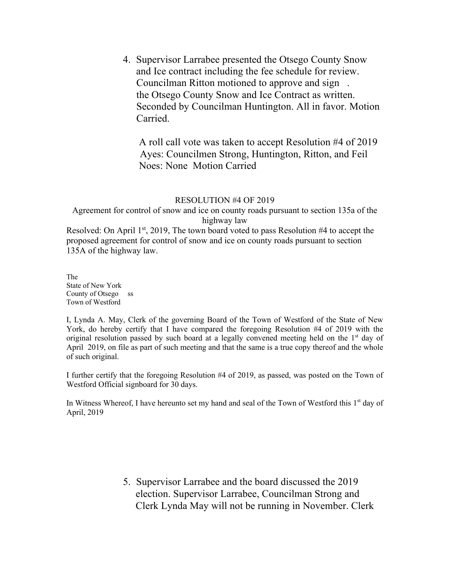4. Supervisor Larrabee presented the Otsego County Snow and Ice contract including the fee schedule for review. Councilman Ritton motioned to approve and sign . the Otsego County Snow and Ice Contract as written. Seconded by Councilman Huntington. All in favor. Motion Carried.

 A roll call vote was taken to accept Resolution #4 of 2019 Ayes: Councilmen Strong, Huntington, Ritton, and Feil Noes: None Motion Carried

#### RESOLUTION #4 OF 2019

Agreement for control of snow and ice on county roads pursuant to section 135a of the highway law

Resolved: On April 1<sup>st</sup>, 2019, The town board voted to pass Resolution #4 to accept the proposed agreement for control of snow and ice on county roads pursuant to section 135A of the highway law.

The State of New York County of Otsego ss Town of Westford

I, Lynda A. May, Clerk of the governing Board of the Town of Westford of the State of New York, do hereby certify that I have compared the foregoing Resolution #4 of 2019 with the original resolution passed by such board at a legally convened meeting held on the  $1<sup>st</sup>$  day of April 2019, on file as part of such meeting and that the same is a true copy thereof and the whole of such original.

I further certify that the foregoing Resolution #4 of 2019, as passed, was posted on the Town of Westford Official signboard for 30 days.

In Witness Whereof, I have hereunto set my hand and seal of the Town of Westford this 1<sup>st</sup> day of April, 2019

> 5. Supervisor Larrabee and the board discussed the 2019 election. Supervisor Larrabee, Councilman Strong and Clerk Lynda May will not be running in November. Clerk